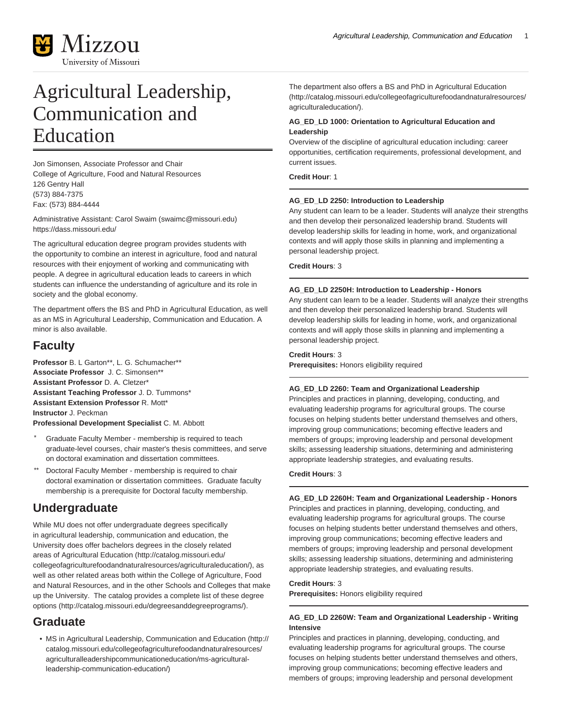

# Agricultural Leadership, Communication and Education

Jon Simonsen, Associate Professor and Chair College of Agriculture, Food and Natural Resources 126 Gentry Hall (573) 884-7375 Fax: (573) 884-4444

Administrative Assistant: [Carol Swaim](mailto:swaimc@missouri.edu) ([swaimc@missouri.edu\)](swaimc@missouri.edu) <https://dass.missouri.edu/>

The agricultural education degree program provides students with the opportunity to combine an interest in agriculture, food and natural resources with their enjoyment of working and communicating with people. A degree in agricultural education leads to careers in which students can influence the understanding of agriculture and its role in society and the global economy.

The department offers the BS and PhD in Agricultural Education, as well as an MS in Agricultural Leadership, Communication and Education. A minor is also available.

## **Faculty**

**Professor** B. L Garton\*\*, L. G. Schumacher\*\* **Associate Professor** J. C. Simonsen\*\* **Assistant Professor** D. A. Cletzer\* **Assistant Teaching Professor** J. D. Tummons\* **Assistant Extension Professor** R. Mott\* **Instructor** J. Peckman **Professional Development Specialist** C. M. Abbott

- Graduate Faculty Member membership is required to teach graduate-level courses, chair master's thesis committees, and serve on doctoral examination and dissertation committees.
- Doctoral Faculty Member membership is required to chair doctoral examination or dissertation committees. Graduate faculty membership is a prerequisite for Doctoral faculty membership.

# **Undergraduate**

While MU does not offer undergraduate degrees specifically in agricultural leadership, communication and education, the University does offer bachelors degrees in the closely related areas of [Agricultural Education](http://catalog.missouri.edu/collegeofagriculturefoodandnaturalresources/agriculturaleducation/) ([http://catalog.missouri.edu/](http://catalog.missouri.edu/collegeofagriculturefoodandnaturalresources/agriculturaleducation/) [collegeofagriculturefoodandnaturalresources/agriculturaleducation/](http://catalog.missouri.edu/collegeofagriculturefoodandnaturalresources/agriculturaleducation/)), as well as other related areas both within the College of Agriculture, Food and Natural Resources, and in the other Schools and Colleges that make up the University. The catalog provides a [complete list of these degree](http://catalog.missouri.edu/degreesanddegreeprograms/) [options](http://catalog.missouri.edu/degreesanddegreeprograms/) (<http://catalog.missouri.edu/degreesanddegreeprograms/>).

# **Graduate**

• [MS in Agricultural Leadership, Communication and Education](http://catalog.missouri.edu/collegeofagriculturefoodandnaturalresources/agriculturalleadershipcommunicationeducation/ms-agricultural-leadership-communication-education/) ([http://](http://catalog.missouri.edu/collegeofagriculturefoodandnaturalresources/agriculturalleadershipcommunicationeducation/ms-agricultural-leadership-communication-education/) [catalog.missouri.edu/collegeofagriculturefoodandnaturalresources/](http://catalog.missouri.edu/collegeofagriculturefoodandnaturalresources/agriculturalleadershipcommunicationeducation/ms-agricultural-leadership-communication-education/) [agriculturalleadershipcommunicationeducation/ms-agricultural](http://catalog.missouri.edu/collegeofagriculturefoodandnaturalresources/agriculturalleadershipcommunicationeducation/ms-agricultural-leadership-communication-education/)[leadership-communication-education/\)](http://catalog.missouri.edu/collegeofagriculturefoodandnaturalresources/agriculturalleadershipcommunicationeducation/ms-agricultural-leadership-communication-education/)

The department also offers a [BS and PhD in Agricultural Education](http://catalog.missouri.edu/collegeofagriculturefoodandnaturalresources/agriculturaleducation/) ([http://catalog.missouri.edu/collegeofagriculturefoodandnaturalresources/](http://catalog.missouri.edu/collegeofagriculturefoodandnaturalresources/agriculturaleducation/) [agriculturaleducation/](http://catalog.missouri.edu/collegeofagriculturefoodandnaturalresources/agriculturaleducation/)).

### **AG\_ED\_LD 1000: Orientation to Agricultural Education and Leadership**

Overview of the discipline of agricultural education including: career opportunities, certification requirements, professional development, and current issues.

**Credit Hour**: 1

### **AG\_ED\_LD 2250: Introduction to Leadership**

Any student can learn to be a leader. Students will analyze their strengths and then develop their personalized leadership brand. Students will develop leadership skills for leading in home, work, and organizational contexts and will apply those skills in planning and implementing a personal leadership project.

**Credit Hours**: 3

### **AG\_ED\_LD 2250H: Introduction to Leadership - Honors**

Any student can learn to be a leader. Students will analyze their strengths and then develop their personalized leadership brand. Students will develop leadership skills for leading in home, work, and organizational contexts and will apply those skills in planning and implementing a personal leadership project.

### **Credit Hours**: 3

**Prerequisites:** Honors eligibility required

### **AG\_ED\_LD 2260: Team and Organizational Leadership**

Principles and practices in planning, developing, conducting, and evaluating leadership programs for agricultural groups. The course focuses on helping students better understand themselves and others, improving group communications; becoming effective leaders and members of groups; improving leadership and personal development skills; assessing leadership situations, determining and administering appropriate leadership strategies, and evaluating results.

**Credit Hours**: 3

### **AG\_ED\_LD 2260H: Team and Organizational Leadership - Honors**

Principles and practices in planning, developing, conducting, and evaluating leadership programs for agricultural groups. The course focuses on helping students better understand themselves and others, improving group communications; becoming effective leaders and members of groups; improving leadership and personal development skills; assessing leadership situations, determining and administering appropriate leadership strategies, and evaluating results.

### **Credit Hours**: 3

**Prerequisites:** Honors eligibility required

### **AG\_ED\_LD 2260W: Team and Organizational Leadership - Writing Intensive**

Principles and practices in planning, developing, conducting, and evaluating leadership programs for agricultural groups. The course focuses on helping students better understand themselves and others, improving group communications; becoming effective leaders and members of groups; improving leadership and personal development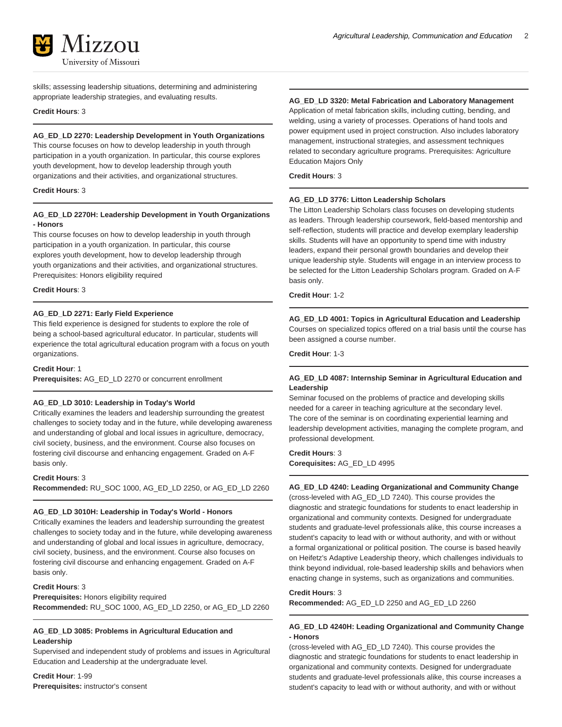

skills; assessing leadership situations, determining and administering appropriate leadership strategies, and evaluating results.

#### **Credit Hours**: 3

**AG\_ED\_LD 2270: Leadership Development in Youth Organizations** This course focuses on how to develop leadership in youth through participation in a youth organization. In particular, this course explores youth development, how to develop leadership through youth organizations and their activities, and organizational structures.

#### **Credit Hours**: 3

### **AG\_ED\_LD 2270H: Leadership Development in Youth Organizations - Honors**

This course focuses on how to develop leadership in youth through participation in a youth organization. In particular, this course explores youth development, how to develop leadership through youth organizations and their activities, and organizational structures. Prerequisites: Honors eligibility required

#### **Credit Hours**: 3

### **AG\_ED\_LD 2271: Early Field Experience**

This field experience is designed for students to explore the role of being a school-based agricultural educator. In particular, students will experience the total agricultural education program with a focus on youth organizations.

**Credit Hour**: 1

**Prerequisites:** AG\_ED\_LD 2270 or concurrent enrollment

### **AG\_ED\_LD 3010: Leadership in Today's World**

Critically examines the leaders and leadership surrounding the greatest challenges to society today and in the future, while developing awareness and understanding of global and local issues in agriculture, democracy, civil society, business, and the environment. Course also focuses on fostering civil discourse and enhancing engagement. Graded on A-F basis only.

**Credit Hours**: 3

**Recommended:** RU\_SOC 1000, AG\_ED\_LD 2250, or AG\_ED\_LD 2260

#### **AG\_ED\_LD 3010H: Leadership in Today's World - Honors**

Critically examines the leaders and leadership surrounding the greatest challenges to society today and in the future, while developing awareness and understanding of global and local issues in agriculture, democracy, civil society, business, and the environment. Course also focuses on fostering civil discourse and enhancing engagement. Graded on A-F basis only.

### **Credit Hours**: 3

**Prerequisites:** Honors eligibility required **Recommended:** RU\_SOC 1000, AG\_ED\_LD 2250, or AG\_ED\_LD 2260

#### **AG\_ED\_LD 3085: Problems in Agricultural Education and Leadership**

Supervised and independent study of problems and issues in Agricultural Education and Leadership at the undergraduate level.

**Credit Hour**: 1-99 **Prerequisites:** instructor's consent

### **AG\_ED\_LD 3320: Metal Fabrication and Laboratory Management**

Application of metal fabrication skills, including cutting, bending, and welding, using a variety of processes. Operations of hand tools and power equipment used in project construction. Also includes laboratory management, instructional strategies, and assessment techniques related to secondary agriculture programs. Prerequisites: Agriculture Education Majors Only

**Credit Hours**: 3

#### **AG\_ED\_LD 3776: Litton Leadership Scholars**

The Litton Leadership Scholars class focuses on developing students as leaders. Through leadership coursework, field-based mentorship and self-reflection, students will practice and develop exemplary leadership skills. Students will have an opportunity to spend time with industry leaders, expand their personal growth boundaries and develop their unique leadership style. Students will engage in an interview process to be selected for the Litton Leadership Scholars program. Graded on A-F basis only.

**Credit Hour**: 1-2

### **AG\_ED\_LD 4001: Topics in Agricultural Education and Leadership**

Courses on specialized topics offered on a trial basis until the course has been assigned a course number.

**Credit Hour**: 1-3

### **AG\_ED\_LD 4087: Internship Seminar in Agricultural Education and Leadership**

Seminar focused on the problems of practice and developing skills needed for a career in teaching agriculture at the secondary level. The core of the seminar is on coordinating experiential learning and leadership development activities, managing the complete program, and professional development.

#### **Credit Hours**: 3

**Corequisites:** AG\_ED\_LD 4995

### **AG\_ED\_LD 4240: Leading Organizational and Community Change**

(cross-leveled with AG\_ED\_LD 7240). This course provides the diagnostic and strategic foundations for students to enact leadership in organizational and community contexts. Designed for undergraduate students and graduate-level professionals alike, this course increases a student's capacity to lead with or without authority, and with or without a formal organizational or political position. The course is based heavily on Heifetz's Adaptive Leadership theory, which challenges individuals to think beyond individual, role-based leadership skills and behaviors when enacting change in systems, such as organizations and communities.

#### **Credit Hours**: 3

**Recommended:** AG\_ED\_LD 2250 and AG\_ED\_LD 2260

### **AG\_ED\_LD 4240H: Leading Organizational and Community Change - Honors**

(cross-leveled with AG\_ED\_LD 7240). This course provides the diagnostic and strategic foundations for students to enact leadership in organizational and community contexts. Designed for undergraduate students and graduate-level professionals alike, this course increases a student's capacity to lead with or without authority, and with or without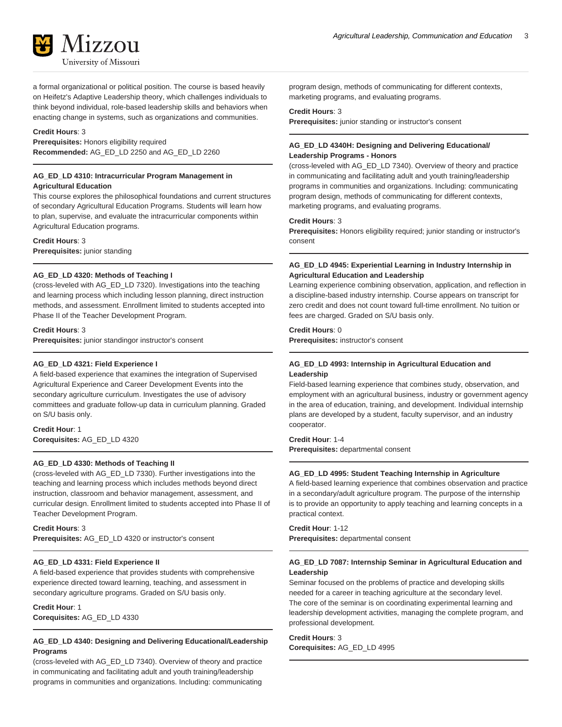a formal organizational or political position. The course is based heavily on Heifetz's Adaptive Leadership theory, which challenges individuals to think beyond individual, role-based leadership skills and behaviors when enacting change in systems, such as organizations and communities.

### **Credit Hours**: 3

**Prerequisites:** Honors eligibility required **Recommended:** AG\_ED\_LD 2250 and AG\_ED\_LD 2260

### **AG\_ED\_LD 4310: Intracurricular Program Management in Agricultural Education**

This course explores the philosophical foundations and current structures of secondary Agricultural Education Programs. Students will learn how to plan, supervise, and evaluate the intracurricular components within Agricultural Education programs.

#### **Credit Hours**: 3

**Prerequisites:** junior standing

### **AG\_ED\_LD 4320: Methods of Teaching I**

(cross-leveled with AG\_ED\_LD 7320). Investigations into the teaching and learning process which including lesson planning, direct instruction methods, and assessment. Enrollment limited to students accepted into Phase II of the Teacher Development Program.

**Credit Hours**: 3

**Prerequisites:** junior standingor instructor's consent

### **AG\_ED\_LD 4321: Field Experience I**

A field-based experience that examines the integration of Supervised Agricultural Experience and Career Development Events into the secondary agriculture curriculum. Investigates the use of advisory committees and graduate follow-up data in curriculum planning. Graded on S/U basis only.

### **Credit Hour**: 1 **Corequisites:** AG\_ED\_LD 4320

### **AG\_ED\_LD 4330: Methods of Teaching II**

(cross-leveled with AG\_ED\_LD 7330). Further investigations into the teaching and learning process which includes methods beyond direct instruction, classroom and behavior management, assessment, and curricular design. Enrollment limited to students accepted into Phase II of Teacher Development Program.

#### **Credit Hours**: 3

**Prerequisites:** AG\_ED\_LD 4320 or instructor's consent

### **AG\_ED\_LD 4331: Field Experience II**

A field-based experience that provides students with comprehensive experience directed toward learning, teaching, and assessment in secondary agriculture programs. Graded on S/U basis only.

**Credit Hour**: 1 **Corequisites:** AG\_ED\_LD 4330

### **AG\_ED\_LD 4340: Designing and Delivering Educational/Leadership Programs**

(cross-leveled with AG\_ED\_LD 7340). Overview of theory and practice in communicating and facilitating adult and youth training/leadership programs in communities and organizations. Including: communicating

program design, methods of communicating for different contexts, marketing programs, and evaluating programs.

### **Credit Hours**: 3

**Prerequisites:** junior standing or instructor's consent

### **AG\_ED\_LD 4340H: Designing and Delivering Educational/ Leadership Programs - Honors**

(cross-leveled with AG\_ED\_LD 7340). Overview of theory and practice in communicating and facilitating adult and youth training/leadership programs in communities and organizations. Including: communicating program design, methods of communicating for different contexts, marketing programs, and evaluating programs.

#### **Credit Hours**: 3

**Prerequisites:** Honors eligibility required; junior standing or instructor's consent

### **AG\_ED\_LD 4945: Experiential Learning in Industry Internship in Agricultural Education and Leadership**

Learning experience combining observation, application, and reflection in a discipline-based industry internship. Course appears on transcript for zero credit and does not count toward full-time enrollment. No tuition or fees are charged. Graded on S/U basis only.

#### **Credit Hours**: 0

**Prerequisites:** instructor's consent

### **AG\_ED\_LD 4993: Internship in Agricultural Education and Leadership**

Field-based learning experience that combines study, observation, and employment with an agricultural business, industry or government agency in the area of education, training, and development. Individual internship plans are developed by a student, faculty supervisor, and an industry cooperator.

### **Credit Hour**: 1-4

**Prerequisites:** departmental consent

### **AG\_ED\_LD 4995: Student Teaching Internship in Agriculture**

A field-based learning experience that combines observation and practice in a secondary/adult agriculture program. The purpose of the internship is to provide an opportunity to apply teaching and learning concepts in a practical context.

### **Credit Hour**: 1-12

**Prerequisites:** departmental consent

### **AG\_ED\_LD 7087: Internship Seminar in Agricultural Education and Leadership**

Seminar focused on the problems of practice and developing skills needed for a career in teaching agriculture at the secondary level. The core of the seminar is on coordinating experimental learning and leadership development activities, managing the complete program, and professional development.

**Credit Hours**: 3 **Corequisites:** AG\_ED\_LD 4995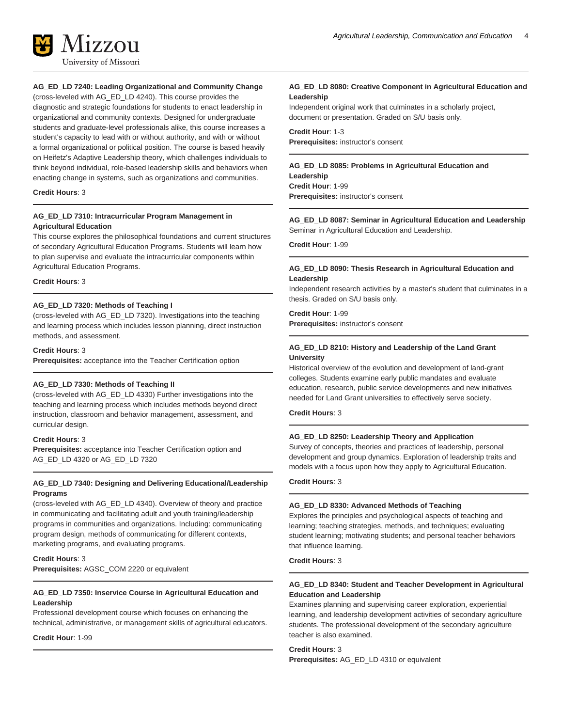

### **AG\_ED\_LD 7240: Leading Organizational and Community Change**

(cross-leveled with AG\_ED\_LD 4240). This course provides the diagnostic and strategic foundations for students to enact leadership in organizational and community contexts. Designed for undergraduate students and graduate-level professionals alike, this course increases a student's capacity to lead with or without authority, and with or without a formal organizational or political position. The course is based heavily on Heifetz's Adaptive Leadership theory, which challenges individuals to think beyond individual, role-based leadership skills and behaviors when enacting change in systems, such as organizations and communities.

#### **Credit Hours**: 3

### **AG\_ED\_LD 7310: Intracurricular Program Management in Agricultural Education**

This course explores the philosophical foundations and current structures of secondary Agricultural Education Programs. Students will learn how to plan supervise and evaluate the intracurricular components within Agricultural Education Programs.

#### **Credit Hours**: 3

#### **AG\_ED\_LD 7320: Methods of Teaching I**

(cross-leveled with AG\_ED\_LD 7320). Investigations into the teaching and learning process which includes lesson planning, direct instruction methods, and assessment.

#### **Credit Hours**: 3

**Prerequisites:** acceptance into the Teacher Certification option

#### **AG\_ED\_LD 7330: Methods of Teaching II**

(cross-leveled with AG\_ED\_LD 4330) Further investigations into the teaching and learning process which includes methods beyond direct instruction, classroom and behavior management, assessment, and curricular design.

#### **Credit Hours**: 3

**Prerequisites:** acceptance into Teacher Certification option and AG\_ED\_LD 4320 or AG\_ED\_LD 7320

### **AG\_ED\_LD 7340: Designing and Delivering Educational/Leadership Programs**

(cross-leveled with AG\_ED\_LD 4340). Overview of theory and practice in communicating and facilitating adult and youth training/leadership programs in communities and organizations. Including: communicating program design, methods of communicating for different contexts, marketing programs, and evaluating programs.

#### **Credit Hours**: 3

**Prerequisites:** AGSC\_COM 2220 or equivalent

#### **AG\_ED\_LD 7350: Inservice Course in Agricultural Education and Leadership**

Professional development course which focuses on enhancing the technical, administrative, or management skills of agricultural educators.

**Credit Hour**: 1-99

### **AG\_ED\_LD 8080: Creative Component in Agricultural Education and Leadership**

Independent original work that culminates in a scholarly project, document or presentation. Graded on S/U basis only.

**Credit Hour**: 1-3 **Prerequisites:** instructor's consent

**AG\_ED\_LD 8085: Problems in Agricultural Education and Leadership Credit Hour**: 1-99 **Prerequisites:** instructor's consent

**AG\_ED\_LD 8087: Seminar in Agricultural Education and Leadership** Seminar in Agricultural Education and Leadership.

**Credit Hour**: 1-99

#### **AG\_ED\_LD 8090: Thesis Research in Agricultural Education and Leadership**

Independent research activities by a master's student that culminates in a thesis. Graded on S/U basis only.

**Credit Hour**: 1-99 **Prerequisites:** instructor's consent

### **AG\_ED\_LD 8210: History and Leadership of the Land Grant University**

Historical overview of the evolution and development of land-grant colleges. Students examine early public mandates and evaluate education, research, public service developments and new initiatives needed for Land Grant universities to effectively serve society.

**Credit Hours**: 3

#### **AG\_ED\_LD 8250: Leadership Theory and Application**

Survey of concepts, theories and practices of leadership, personal development and group dynamics. Exploration of leadership traits and models with a focus upon how they apply to Agricultural Education.

#### **Credit Hours**: 3

#### **AG\_ED\_LD 8330: Advanced Methods of Teaching**

Explores the principles and psychological aspects of teaching and learning; teaching strategies, methods, and techniques; evaluating student learning; motivating students; and personal teacher behaviors that influence learning.

**Credit Hours**: 3

### **AG\_ED\_LD 8340: Student and Teacher Development in Agricultural Education and Leadership**

Examines planning and supervising career exploration, experiential learning, and leadership development activities of secondary agriculture students. The professional development of the secondary agriculture teacher is also examined.

### **Credit Hours**: 3

**Prerequisites:** AG\_ED\_LD 4310 or equivalent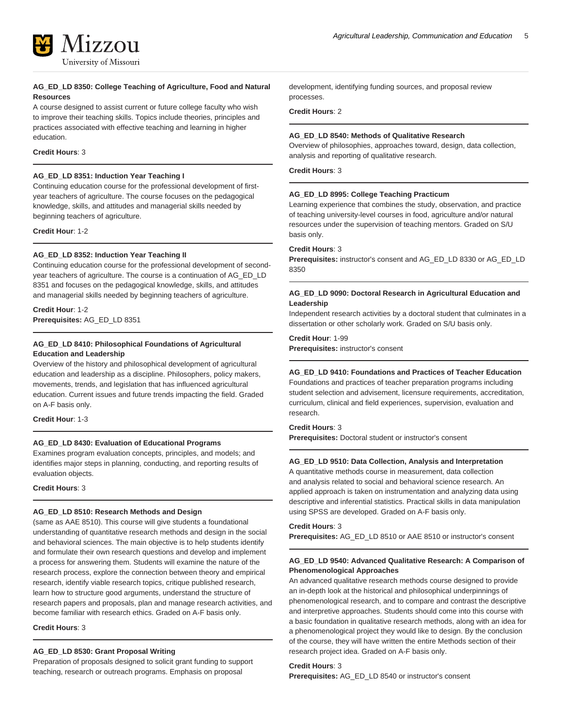

### **AG\_ED\_LD 8350: College Teaching of Agriculture, Food and Natural Resources**

A course designed to assist current or future college faculty who wish to improve their teaching skills. Topics include theories, principles and practices associated with effective teaching and learning in higher education.

### **Credit Hours**: 3

### **AG\_ED\_LD 8351: Induction Year Teaching I**

Continuing education course for the professional development of firstyear teachers of agriculture. The course focuses on the pedagogical knowledge, skills, and attitudes and managerial skills needed by beginning teachers of agriculture.

**Credit Hour**: 1-2

### **AG\_ED\_LD 8352: Induction Year Teaching II**

Continuing education course for the professional development of secondyear teachers of agriculture. The course is a continuation of AG\_ED\_LD 8351 and focuses on the pedagogical knowledge, skills, and attitudes and managerial skills needed by beginning teachers of agriculture.

**Credit Hour**: 1-2 **Prerequisites:** AG\_ED\_LD 8351

### **AG\_ED\_LD 8410: Philosophical Foundations of Agricultural Education and Leadership**

Overview of the history and philosophical development of agricultural education and leadership as a discipline. Philosophers, policy makers, movements, trends, and legislation that has influenced agricultural education. Current issues and future trends impacting the field. Graded on A-F basis only.

**Credit Hour**: 1-3

### **AG\_ED\_LD 8430: Evaluation of Educational Programs**

Examines program evaluation concepts, principles, and models; and identifies major steps in planning, conducting, and reporting results of evaluation objects.

**Credit Hours**: 3

### **AG\_ED\_LD 8510: Research Methods and Design**

(same as AAE 8510). This course will give students a foundational understanding of quantitative research methods and design in the social and behavioral sciences. The main objective is to help students identify and formulate their own research questions and develop and implement a process for answering them. Students will examine the nature of the research process, explore the connection between theory and empirical research, identify viable research topics, critique published research, learn how to structure good arguments, understand the structure of research papers and proposals, plan and manage research activities, and become familiar with research ethics. Graded on A-F basis only.

**Credit Hours**: 3

### **AG\_ED\_LD 8530: Grant Proposal Writing**

Preparation of proposals designed to solicit grant funding to support teaching, research or outreach programs. Emphasis on proposal

development, identifying funding sources, and proposal review processes.

**Credit Hours**: 2

### **AG\_ED\_LD 8540: Methods of Qualitative Research**

Overview of philosophies, approaches toward, design, data collection, analysis and reporting of qualitative research.

**Credit Hours**: 3

### **AG\_ED\_LD 8995: College Teaching Practicum**

Learning experience that combines the study, observation, and practice of teaching university-level courses in food, agriculture and/or natural resources under the supervision of teaching mentors. Graded on S/U basis only.

#### **Credit Hours**: 3

**Prerequisites:** instructor's consent and AG\_ED\_LD 8330 or AG\_ED\_LD 8350

### **AG\_ED\_LD 9090: Doctoral Research in Agricultural Education and Leadership**

Independent research activities by a doctoral student that culminates in a dissertation or other scholarly work. Graded on S/U basis only.

### **Credit Hour**: 1-99

**Prerequisites:** instructor's consent

### **AG\_ED\_LD 9410: Foundations and Practices of Teacher Education**

Foundations and practices of teacher preparation programs including student selection and advisement, licensure requirements, accreditation, curriculum, clinical and field experiences, supervision, evaluation and research.

### **Credit Hours**: 3

**Prerequisites:** Doctoral student or instructor's consent

### **AG\_ED\_LD 9510: Data Collection, Analysis and Interpretation**

A quantitative methods course in measurement, data collection and analysis related to social and behavioral science research. An applied approach is taken on instrumentation and analyzing data using descriptive and inferential statistics. Practical skills in data manipulation using SPSS are developed. Graded on A-F basis only.

**Credit Hours**: 3

**Prerequisites:** AG\_ED\_LD 8510 or AAE 8510 or instructor's consent

### **AG\_ED\_LD 9540: Advanced Qualitative Research: A Comparison of Phenomenological Approaches**

An advanced qualitative research methods course designed to provide an in-depth look at the historical and philosophical underpinnings of phenomenological research, and to compare and contrast the descriptive and interpretive approaches. Students should come into this course with a basic foundation in qualitative research methods, along with an idea for a phenomenological project they would like to design. By the conclusion of the course, they will have written the entire Methods section of their research project idea. Graded on A-F basis only.

### **Credit Hours**: 3

**Prerequisites:** AG\_ED\_LD 8540 or instructor's consent